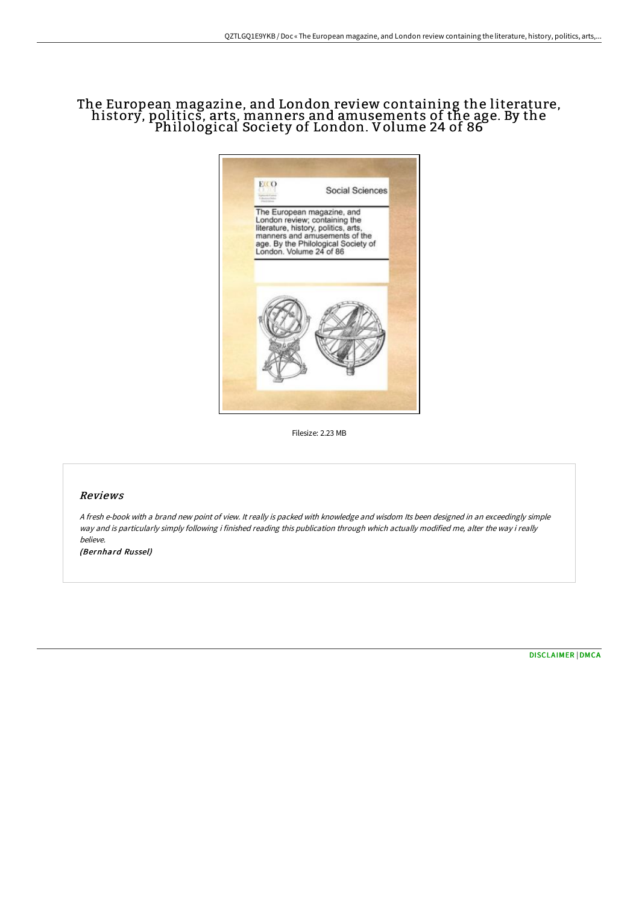## The European magazine, and London review containing the literature, history, politics, arts, manners and amusements of the age. By the Philological Society of London. Volume 24 of 86



Filesize: 2.23 MB

## Reviews

<sup>A</sup> fresh e-book with <sup>a</sup> brand new point of view. It really is packed with knowledge and wisdom Its been designed in an exceedingly simple way and is particularly simply following i finished reading this publication through which actually modified me, alter the way i really believe.

(Bernhard Russel)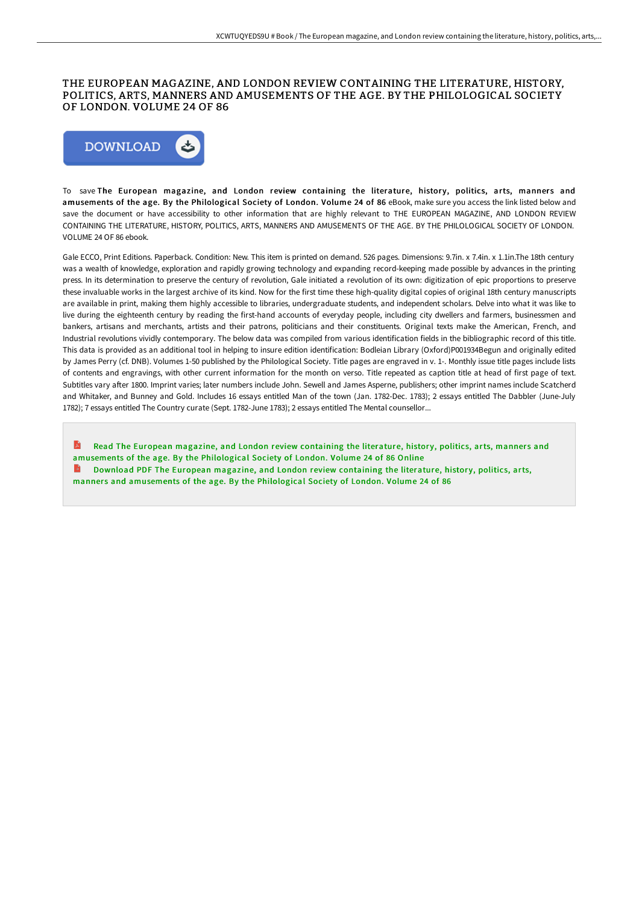## THE EUROPEAN MAGAZINE, AND LONDON REVIEW CONTAINING THE LITERATURE, HISTORY, POLITICS, ARTS, MANNERS AND AMUSEMENTS OF THE AGE. BY THE PHILOLOGICAL SOCIETY OF LONDON. VOLUME 24 OF 86



To save The European magazine, and London review containing the literature, history, politics, arts, manners and amusements of the age. By the Philological Society of London. Volume 24 of 86 eBook, make sure you access the link listed below and save the document or have accessibility to other information that are highly relevant to THE EUROPEAN MAGAZINE, AND LONDON REVIEW CONTAINING THE LITERATURE, HISTORY, POLITICS, ARTS, MANNERS AND AMUSEMENTS OF THE AGE. BY THE PHILOLOGICAL SOCIETY OF LONDON. VOLUME 24 OF 86 ebook.

Gale ECCO, Print Editions. Paperback. Condition: New. This item is printed on demand. 526 pages. Dimensions: 9.7in. x 7.4in. x 1.1in.The 18th century was a wealth of knowledge, exploration and rapidly growing technology and expanding record-keeping made possible by advances in the printing press. In its determination to preserve the century of revolution, Gale initiated a revolution of its own: digitization of epic proportions to preserve these invaluable works in the largest archive of its kind. Now for the first time these high-quality digital copies of original 18th century manuscripts are available in print, making them highly accessible to libraries, undergraduate students, and independent scholars. Delve into what it was like to live during the eighteenth century by reading the first-hand accounts of everyday people, including city dwellers and farmers, businessmen and bankers, artisans and merchants, artists and their patrons, politicians and their constituents. Original texts make the American, French, and Industrial revolutions vividly contemporary. The below data was compiled from various identification fields in the bibliographic record of this title. This data is provided as an additional tool in helping to insure edition identification: Bodleian Library (Oxford)P001934Begun and originally edited by James Perry (cf. DNB). Volumes 1-50 published by the Philological Society. Title pages are engraved in v. 1-. Monthly issue title pages include lists of contents and engravings, with other current information for the month on verso. Title repeated as caption title at head of first page of text. Subtitles vary after 1800. Imprint varies; later numbers include John. Sewell and James Asperne, publishers; other imprint names include Scatcherd and Whitaker, and Bunney and Gold. Includes 16 essays entitled Man of the town (Jan. 1782-Dec. 1783); 2 essays entitled The Dabbler (June-July 1782); 7 essays entitled The Country curate (Sept. 1782-June 1783); 2 essays entitled The Mental counsellor...

A Read The European magazine, and London review containing the literature, history, politics, arts, manners and [amusements](http://bookera.tech/the-european-magazine-and-london-review-containi-36.html) of the age. By the Philological Society of London. Volume 24 of 86 Online Download PDF The European magazine, and London review containing the literature, history, politics, arts, manners and [amusements](http://bookera.tech/the-european-magazine-and-london-review-containi-36.html) of the age. By the Philological Society of London. Volume 24 of 86